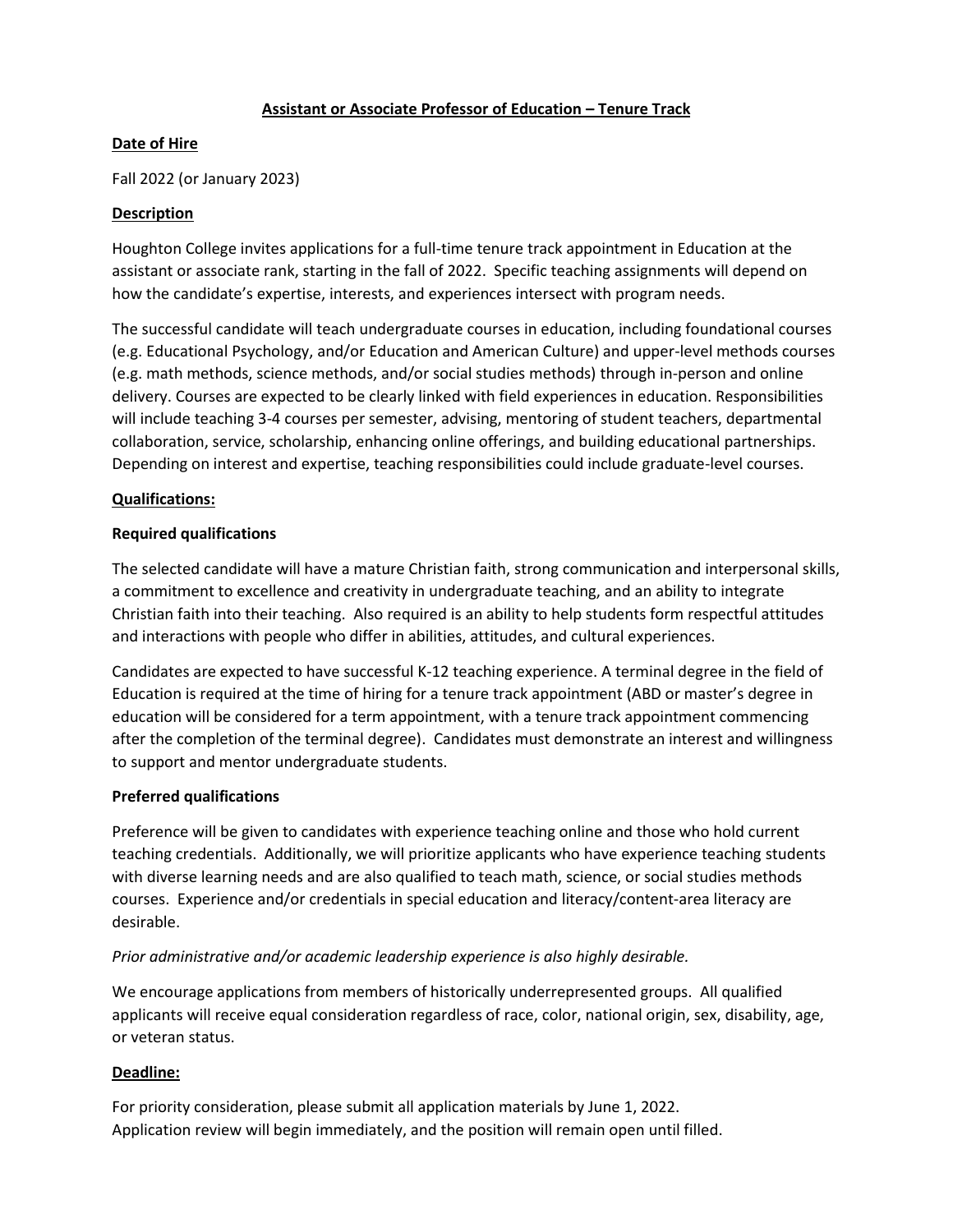#### **Assistant or Associate Professor of Education – Tenure Track**

## **Date of Hire**

Fall 2022 (or January 2023)

## **Description**

Houghton College invites applications for a full-time tenure track appointment in Education at the assistant or associate rank, starting in the fall of 2022. Specific teaching assignments will depend on how the candidate's expertise, interests, and experiences intersect with program needs.

The successful candidate will teach undergraduate courses in education, including foundational courses (e.g. Educational Psychology, and/or Education and American Culture) and upper-level methods courses (e.g. math methods, science methods, and/or social studies methods) through in-person and online delivery. Courses are expected to be clearly linked with field experiences in education. Responsibilities will include teaching 3-4 courses per semester, advising, mentoring of student teachers, departmental collaboration, service, scholarship, enhancing online offerings, and building educational partnerships. Depending on interest and expertise, teaching responsibilities could include graduate-level courses.

## **Qualifications:**

#### **Required qualifications**

The selected candidate will have a mature Christian faith, strong communication and interpersonal skills, a commitment to excellence and creativity in undergraduate teaching, and an ability to integrate Christian faith into their teaching. Also required is an ability to help students form respectful attitudes and interactions with people who differ in abilities, attitudes, and cultural experiences.

Candidates are expected to have successful K-12 teaching experience. A terminal degree in the field of Education is required at the time of hiring for a tenure track appointment (ABD or master's degree in education will be considered for a term appointment, with a tenure track appointment commencing after the completion of the terminal degree). Candidates must demonstrate an interest and willingness to support and mentor undergraduate students.

#### **Preferred qualifications**

Preference will be given to candidates with experience teaching online and those who hold current teaching credentials. Additionally, we will prioritize applicants who have experience teaching students with diverse learning needs and are also qualified to teach math, science, or social studies methods courses. Experience and/or credentials in special education and literacy/content-area literacy are desirable.

#### *Prior administrative and/or academic leadership experience is also highly desirable.*

We encourage applications from members of historically underrepresented groups. All qualified applicants will receive equal consideration regardless of race, color, national origin, sex, disability, age, or veteran status.

# **Deadline:**

For priority consideration, please submit all application materials by June 1, 2022. Application review will begin immediately, and the position will remain open until filled.